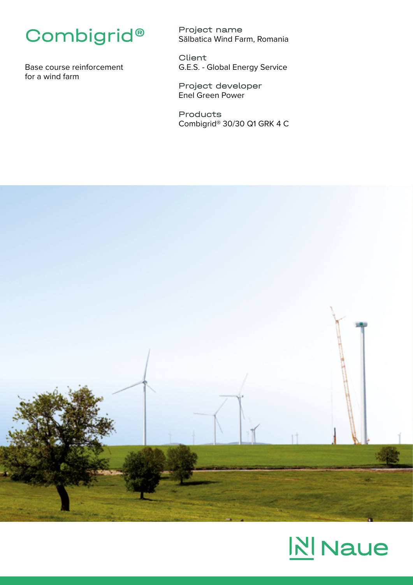## Combigrid®

Base course reinforcement for a wind farm

Project name Sălbatica Wind Farm, Romania

Client G.E.S. - Global Energy Service

Project developer Enel Green Power

Products Combigrid® 30/30 Q1 GRK 4 C



## **NI** Naue